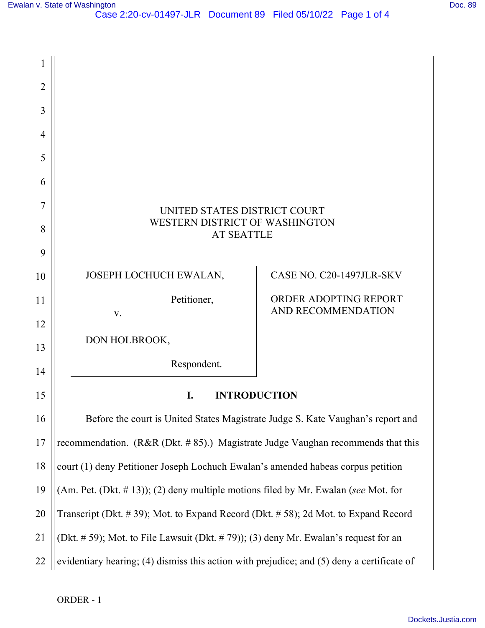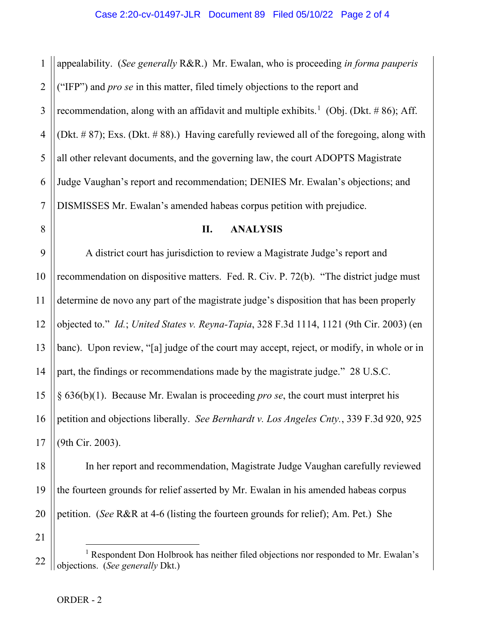1 2 3 4 5 6 7 appealability. (*See generally* R&R.) Mr. Ewalan, who is proceeding *in forma pauperis* ("IFP") and *pro se* in this matter, filed timely objections to the report and recommendation, along with an affidavit and multiple exhibits.<sup>[1](#page-1-0)</sup> (Obj. (Dkt. #86); Aff. (Dkt. # 87); Exs. (Dkt. # 88).) Having carefully reviewed all of the foregoing, along with all other relevant documents, and the governing law, the court ADOPTS Magistrate Judge Vaughan's report and recommendation; DENIES Mr. Ewalan's objections; and DISMISSES Mr. Ewalan's amended habeas corpus petition with prejudice.

## **II. ANALYSIS**

9 10 11 12 13 14 15 16 17 A district court has jurisdiction to review a Magistrate Judge's report and recommendation on dispositive matters. Fed. R. Civ. P. 72(b). "The district judge must determine de novo any part of the magistrate judge's disposition that has been properly objected to." *Id.*; *United States v. Reyna-Tapia*, 328 F.3d 1114, 1121 (9th Cir. 2003) (en banc). Upon review, "[a] judge of the court may accept, reject, or modify, in whole or in part, the findings or recommendations made by the magistrate judge." 28 U.S.C. § 636(b)(1). Because Mr. Ewalan is proceeding *pro se*, the court must interpret his petition and objections liberally. *See Bernhardt v. Los Angeles Cnty.*, 339 F.3d 920, 925 (9th Cir. 2003).

18 19 20 In her report and recommendation, Magistrate Judge Vaughan carefully reviewed the fourteen grounds for relief asserted by Mr. Ewalan in his amended habeas corpus petition. (*See* R&R at 4-6 (listing the fourteen grounds for relief); Am. Pet.) She

21

8

<span id="page-1-0"></span><sup>22</sup>  <sup>1</sup> Respondent Don Holbrook has neither filed objections nor responded to Mr. Ewalan's objections. (*See generally* Dkt.)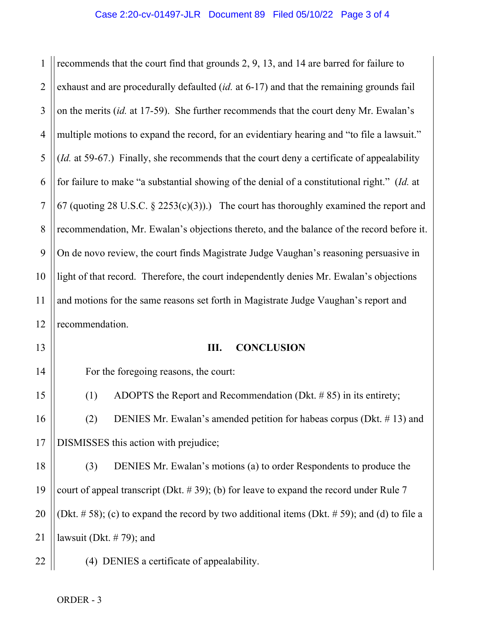1 2 3 4 5 6 7 8 9 10 11 12 recommends that the court find that grounds 2, 9, 13, and 14 are barred for failure to exhaust and are procedurally defaulted (*id.* at 6-17) and that the remaining grounds fail on the merits (*id.* at 17-59). She further recommends that the court deny Mr. Ewalan's multiple motions to expand the record, for an evidentiary hearing and "to file a lawsuit." (*Id.* at 59-67.) Finally, she recommends that the court deny a certificate of appealability for failure to make "a substantial showing of the denial of a constitutional right." (*Id.* at 67 (quoting 28 U.S.C.  $\S$  2253(c)(3)).) The court has thoroughly examined the report and recommendation, Mr. Ewalan's objections thereto, and the balance of the record before it. On de novo review, the court finds Magistrate Judge Vaughan's reasoning persuasive in light of that record. Therefore, the court independently denies Mr. Ewalan's objections and motions for the same reasons set forth in Magistrate Judge Vaughan's report and recommendation.

13

14

15

16

17

22

## **III. CONCLUSION**

For the foregoing reasons, the court:

(1) ADOPTS the Report and Recommendation (Dkt. # 85) in its entirety; (2) DENIES Mr. Ewalan's amended petition for habeas corpus (Dkt. # 13) and

DISMISSES this action with prejudice;

18 19 20 21 (3) DENIES Mr. Ewalan's motions (a) to order Respondents to produce the court of appeal transcript (Dkt.  $# 39$ ); (b) for leave to expand the record under Rule 7 (Dkt.  $\# 58$ ); (c) to expand the record by two additional items (Dkt.  $\# 59$ ); and (d) to file a lawsuit (Dkt. # 79); and

(4) DENIES a certificate of appealability.

ORDER - 3